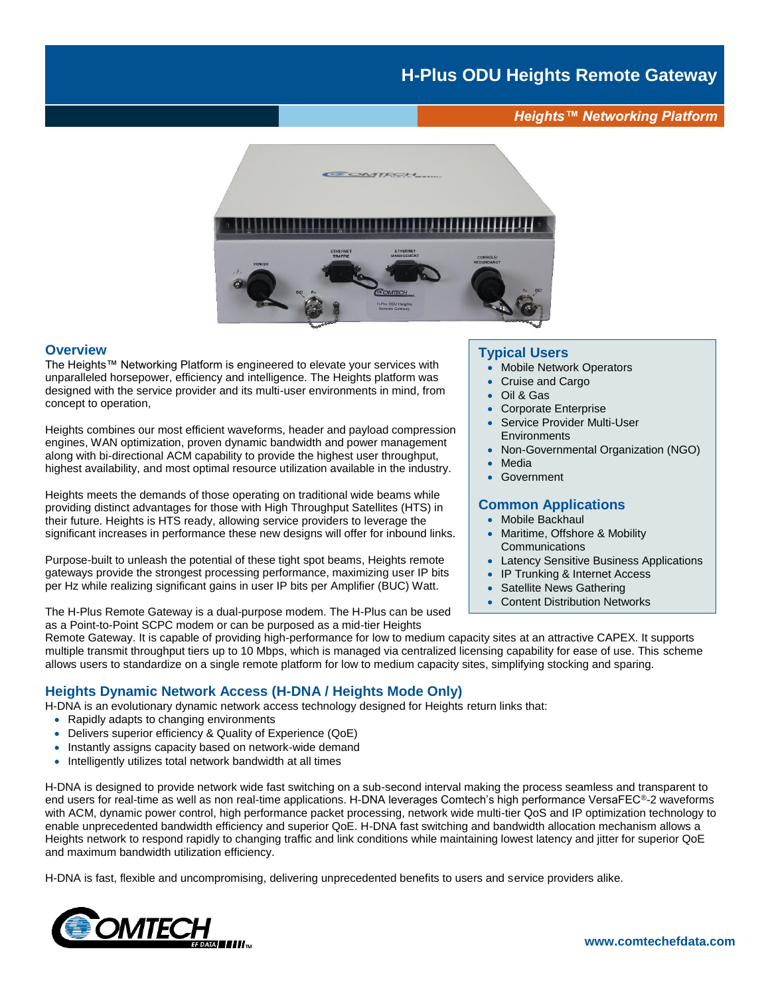*Heights™ Networking Platform*



## **Overview**

The Heights™ Networking Platform is engineered to elevate your services with unparalleled horsepower, efficiency and intelligence. The Heights platform was designed with the service provider and its multi-user environments in mind, from concept to operation,

Heights combines our most efficient waveforms, header and payload compression engines, WAN optimization, proven dynamic bandwidth and power management along with bi-directional ACM capability to provide the highest user throughput, highest availability, and most optimal resource utilization available in the industry.

Heights meets the demands of those operating on traditional wide beams while providing distinct advantages for those with High Throughput Satellites (HTS) in their future. Heights is HTS ready, allowing service providers to leverage the significant increases in performance these new designs will offer for inbound links.

Purpose-built to unleash the potential of these tight spot beams, Heights remote gateways provide the strongest processing performance, maximizing user IP bits per Hz while realizing significant gains in user IP bits per Amplifier (BUC) Watt.

The H-Plus Remote Gateway is a dual-purpose modem. The H-Plus can be used as a Point-to-Point SCPC modem or can be purposed as a mid-tier Heights

#### **Typical Users**

- Mobile Network Operators
- Cruise and Cargo
- Oil & Gas
- Corporate Enterprise
- Service Provider Multi-User **Environments**
- Non-Governmental Organization (NGO)
- **Media**
- **Government**

# **Common Applications**

- Mobile Backhaul
- Maritime, Offshore & Mobility **Communications**
- Latency Sensitive Business Applications
- IP Trunking & Internet Access
- Satellite News Gathering
- **Content Distribution Networks**

Remote Gateway. It is capable of providing high-performance for low to medium capacity sites at an attractive CAPEX. It supports multiple transmit throughput tiers up to 10 Mbps, which is managed via centralized licensing capability for ease of use. This scheme allows users to standardize on a single remote platform for low to medium capacity sites, simplifying stocking and sparing.

# **Heights Dynamic Network Access (H-DNA / Heights Mode Only)**

- H-DNA is an evolutionary dynamic network access technology designed for Heights return links that:
	- Rapidly adapts to changing environments
	- Delivers superior efficiency & Quality of Experience (QoE)
	- Instantly assigns capacity based on network-wide demand
	- Intelligently utilizes total network bandwidth at all times

H-DNA is designed to provide network wide fast switching on a sub-second interval making the process seamless and transparent to end users for real-time as well as non real-time applications. H-DNA leverages Comtech's high performance VersaFEC®-2 waveforms with ACM, dynamic power control, high performance packet processing, network wide multi-tier QoS and IP optimization technology to enable unprecedented bandwidth efficiency and superior QoE. H-DNA fast switching and bandwidth allocation mechanism allows a Heights network to respond rapidly to changing traffic and link conditions while maintaining lowest latency and jitter for superior QoE and maximum bandwidth utilization efficiency.

H-DNA is fast, flexible and uncompromising, delivering unprecedented benefits to users and service providers alike.

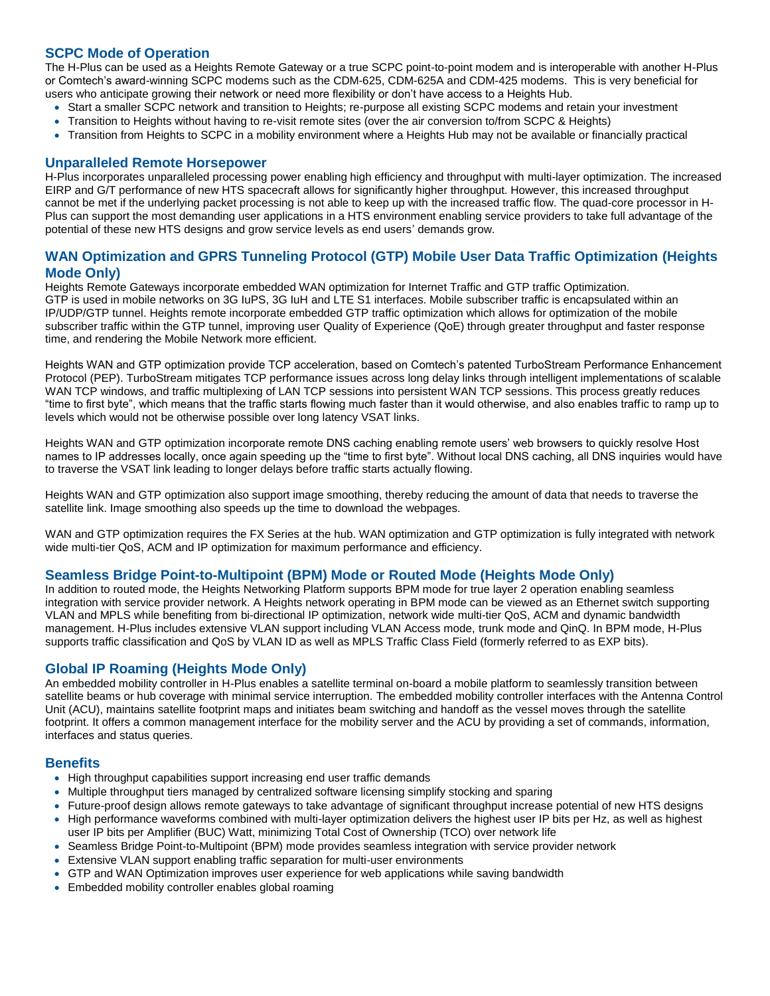# **SCPC Mode of Operation**

The H-Plus can be used as a Heights Remote Gateway or a true SCPC point-to-point modem and is interoperable with another H-Plus or Comtech's award-winning SCPC modems such as the CDM-625, CDM-625A and CDM-425 modems. This is very beneficial for users who anticipate growing their network or need more flexibility or don't have access to a Heights Hub.

- Start a smaller SCPC network and transition to Heights; re-purpose all existing SCPC modems and retain your investment
- Transition to Heights without having to re-visit remote sites (over the air conversion to/from SCPC & Heights)
- Transition from Heights to SCPC in a mobility environment where a Heights Hub may not be available or financially practical

#### **Unparalleled Remote Horsepower**

H-Plus incorporates unparalleled processing power enabling high efficiency and throughput with multi-layer optimization. The increased EIRP and G/T performance of new HTS spacecraft allows for significantly higher throughput. However, this increased throughput cannot be met if the underlying packet processing is not able to keep up with the increased traffic flow. The quad-core processor in H-Plus can support the most demanding user applications in a HTS environment enabling service providers to take full advantage of the potential of these new HTS designs and grow service levels as end users' demands grow.

# **WAN Optimization and GPRS Tunneling Protocol (GTP) Mobile User Data Traffic Optimization (Heights Mode Only)**

Heights Remote Gateways incorporate embedded WAN optimization for Internet Traffic and GTP traffic Optimization. GTP is used in mobile networks on 3G IuPS, 3G IuH and LTE S1 interfaces. Mobile subscriber traffic is encapsulated within an IP/UDP/GTP tunnel. Heights remote incorporate embedded GTP traffic optimization which allows for optimization of the mobile subscriber traffic within the GTP tunnel, improving user Quality of Experience (QoE) through greater throughput and faster response time, and rendering the Mobile Network more efficient.

Heights WAN and GTP optimization provide TCP acceleration, based on Comtech's patented TurboStream Performance Enhancement Protocol (PEP). TurboStream mitigates TCP performance issues across long delay links through intelligent implementations of scalable WAN TCP windows, and traffic multiplexing of LAN TCP sessions into persistent WAN TCP sessions. This process greatly reduces "time to first byte", which means that the traffic starts flowing much faster than it would otherwise, and also enables traffic to ramp up to levels which would not be otherwise possible over long latency VSAT links.

Heights WAN and GTP optimization incorporate remote DNS caching enabling remote users' web browsers to quickly resolve Host names to IP addresses locally, once again speeding up the "time to first byte". Without local DNS caching, all DNS inquiries would have to traverse the VSAT link leading to longer delays before traffic starts actually flowing.

Heights WAN and GTP optimization also support image smoothing, thereby reducing the amount of data that needs to traverse the satellite link. Image smoothing also speeds up the time to download the webpages.

WAN and GTP optimization requires the FX Series at the hub. WAN optimization and GTP optimization is fully integrated with network wide multi-tier QoS, ACM and IP optimization for maximum performance and efficiency.

# **Seamless Bridge Point-to-Multipoint (BPM) Mode or Routed Mode (Heights Mode Only)**

In addition to routed mode, the Heights Networking Platform supports BPM mode for true layer 2 operation enabling seamless integration with service provider network. A Heights network operating in BPM mode can be viewed as an Ethernet switch supporting VLAN and MPLS while benefiting from bi-directional IP optimization, network wide multi-tier QoS, ACM and dynamic bandwidth management. H-Plus includes extensive VLAN support including VLAN Access mode, trunk mode and QinQ. In BPM mode, H-Plus supports traffic classification and QoS by VLAN ID as well as MPLS Traffic Class Field (formerly referred to as EXP bits).

# **Global IP Roaming (Heights Mode Only)**

An embedded mobility controller in H-Plus enables a satellite terminal on-board a mobile platform to seamlessly transition between satellite beams or hub coverage with minimal service interruption. The embedded mobility controller interfaces with the Antenna Control Unit (ACU), maintains satellite footprint maps and initiates beam switching and handoff as the vessel moves through the satellite footprint. It offers a common management interface for the mobility server and the ACU by providing a set of commands, information, interfaces and status queries.

#### **Benefits**

- High throughput capabilities support increasing end user traffic demands
- Multiple throughput tiers managed by centralized software licensing simplify stocking and sparing
- Future-proof design allows remote gateways to take advantage of significant throughput increase potential of new HTS designs • High performance waveforms combined with multi-layer optimization delivers the highest user IP bits per Hz, as well as highest
- user IP bits per Amplifier (BUC) Watt, minimizing Total Cost of Ownership (TCO) over network life
- Seamless Bridge Point-to-Multipoint (BPM) mode provides seamless integration with service provider network
- Extensive VLAN support enabling traffic separation for multi-user environments
- GTP and WAN Optimization improves user experience for web applications while saving bandwidth
- Embedded mobility controller enables global roaming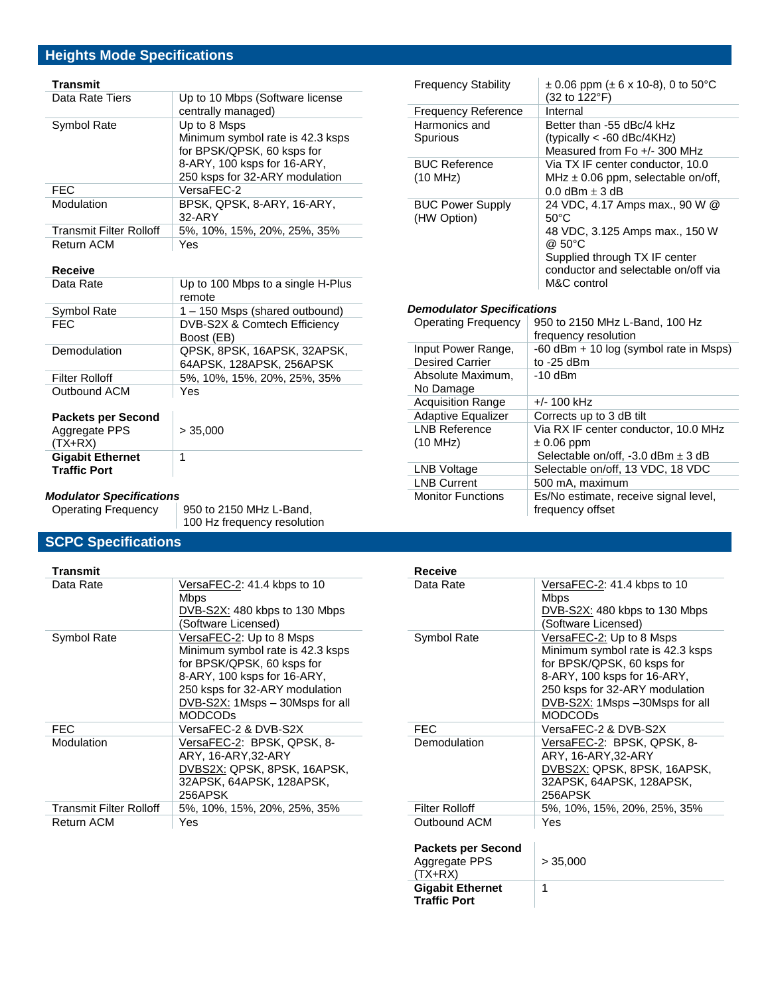# **Heights Mode Specifications**

# **Transmit**

| Data Rate Tiers                | Up to 10 Mbps (Software license<br>centrally managed)                                                                                           |
|--------------------------------|-------------------------------------------------------------------------------------------------------------------------------------------------|
| Symbol Rate                    | Up to 8 Msps<br>Minimum symbol rate is 42.3 ksps<br>for BPSK/QPSK, 60 ksps for<br>8-ARY, 100 ksps for 16-ARY,<br>250 ksps for 32-ARY modulation |
| <b>FEC</b>                     | VersaFEC-2                                                                                                                                      |
| Modulation                     | BPSK, QPSK, 8-ARY, 16-ARY,<br>32-ARY                                                                                                            |
| <b>Transmit Filter Rolloff</b> | 5%, 10%, 15%, 20%, 25%, 35%                                                                                                                     |
| <b>Return ACM</b>              | Yes                                                                                                                                             |

## **Receive**

| Data Rate             | Up to 100 Mbps to a single H-Plus |
|-----------------------|-----------------------------------|
|                       | remote                            |
| Symbol Rate           | 1 – 150 Msps (shared outbound)    |
| <b>FEC</b>            | DVB-S2X & Comtech Efficiency      |
|                       | Boost (EB)                        |
| Demodulation          | QPSK, 8PSK, 16APSK, 32APSK,       |
|                       | 64APSK, 128APSK, 256APSK          |
| <b>Filter Rolloff</b> | 5%, 10%, 15%, 20%, 25%, 35%       |
| Outbound ACM          | Yes                               |
|                       |                                   |
| Packets ner Second    |                                   |

| <b>Packets per Second</b><br>Aggregate PPS<br>$(TX+RX)$ | > 35.000 |
|---------------------------------------------------------|----------|
| <b>Gigabit Ethernet</b><br><b>Traffic Port</b>          |          |

# *Modulator Specifications*

950 to 2150 MHz L-Band, 100 Hz frequency resolution

# **SCPC Specifications**

| Transmit                       |                                                                                                                                                                                                                  |
|--------------------------------|------------------------------------------------------------------------------------------------------------------------------------------------------------------------------------------------------------------|
| Data Rate                      | VersaFEC-2: 41.4 kbps to 10<br>Mbps<br>DVB-S2X: 480 kbps to 130 Mbps<br>(Software Licensed)                                                                                                                      |
| Symbol Rate                    | VersaFEC-2: Up to 8 Msps<br>Minimum symbol rate is 42.3 ksps<br>for BPSK/QPSK, 60 ksps for<br>8-ARY, 100 ksps for 16-ARY,<br>250 ksps for 32-ARY modulation<br>DVB-S2X: 1Msps - 30Msps for all<br><b>MODCODS</b> |
| <b>FEC</b>                     | VersaFEC-2 & DVB-S2X                                                                                                                                                                                             |
| Modulation                     | VersaFEC-2: BPSK, QPSK, 8-<br>ARY, 16-ARY, 32-ARY<br>DVBS2X: QPSK, 8PSK, 16APSK,<br>32APSK, 64APSK, 128APSK,<br>256APSK                                                                                          |
| <b>Transmit Filter Rolloff</b> | 5%, 10%, 15%, 20%, 25%, 35%                                                                                                                                                                                      |
| Return ACM                     | Yes                                                                                                                                                                                                              |

| <b>Frequency Stability</b>        | $\pm$ 0.06 ppm ( $\pm$ 6 x 10-8), 0 to 50 °C<br>(32 to 122°F) |
|-----------------------------------|---------------------------------------------------------------|
| <b>Frequency Reference</b>        | Internal                                                      |
| Harmonics and                     | Better than -55 dBc/4 kHz                                     |
| <b>Spurious</b>                   | (typically $<$ -60 dBc/4KHz)                                  |
|                                   | Measured from Fo +/- 300 MHz                                  |
| <b>BUC Reference</b>              | Via TX IF center conductor, 10.0                              |
| (10 MHz)                          | MHz $\pm$ 0.06 ppm, selectable on/off,                        |
|                                   | 0.0 dBm $\pm$ 3 dB                                            |
| <b>BUC Power Supply</b>           | 24 VDC, 4.17 Amps max., 90 W @                                |
| (HW Option)                       | $50^{\circ}$ C                                                |
|                                   | 48 VDC, 3.125 Amps max., 150 W                                |
|                                   | @ 50°C                                                        |
|                                   | Supplied through TX IF center                                 |
|                                   | conductor and selectable on/off via                           |
|                                   | M&C control                                                   |
|                                   |                                                               |
|                                   |                                                               |
| <b>Demodulator Specifications</b> |                                                               |
| <b>Operating Frequency</b>        | 950 to 2150 MHz L-Band, 100 Hz                                |
|                                   | frequency resolution                                          |
| Input Power Range,                | -60 dBm + 10 log (symbol rate in Msps)                        |
| <b>Desired Carrier</b>            | to $-25$ dBm                                                  |
| Absolute Maximum,                 | $-10$ dBm                                                     |
| No Damage                         |                                                               |
| <b>Acquisition Range</b>          | $+/- 100$ kHz                                                 |
| <b>Adaptive Equalizer</b>         | Corrects up to 3 dB tilt                                      |
| <b>LNB Reference</b>              | Via RX IF center conductor, 10.0 MHz                          |
| (10 MHz)                          | $\pm 0.06$ ppm                                                |
|                                   | Selectable on/off, $-3.0$ dBm $\pm 3$ dB                      |
| <b>LNB Voltage</b>                | Selectable on/off, 13 VDC, 18 VDC                             |
| <b>LNB Current</b>                | 500 mA, maximum                                               |
| <b>Monitor Functions</b>          | Es/No estimate, receive signal level,<br>frequency offset     |

| Receive                                        |                                                                                                                                                                                                                 |
|------------------------------------------------|-----------------------------------------------------------------------------------------------------------------------------------------------------------------------------------------------------------------|
| Data Rate                                      | VersaFEC-2: 41.4 kbps to 10<br>Mbps<br>DVB-S2X: 480 kbps to 130 Mbps                                                                                                                                            |
|                                                | (Software Licensed)                                                                                                                                                                                             |
| Symbol Rate                                    | VersaFEC-2: Up to 8 Msps<br>Minimum symbol rate is 42.3 ksps<br>for BPSK/QPSK, 60 ksps for<br>8-ARY, 100 ksps for 16-ARY,<br>250 ksps for 32-ARY modulation<br>DVB-S2X: 1Msps -30Msps for all<br><b>MODCODS</b> |
| <b>FFC</b>                                     | VersaFFC-2 & DVB-S2X                                                                                                                                                                                            |
| Demodulation                                   | VersaFEC-2: BPSK, QPSK, 8-<br>ARY, 16-ARY, 32-ARY<br>DVBS2X: QPSK, 8PSK, 16APSK,<br>32APSK, 64APSK, 128APSK,<br>256APSK                                                                                         |
| <b>Filter Rolloff</b>                          | 5%, 10%, 15%, 20%, 25%, 35%                                                                                                                                                                                     |
| Outbound ACM                                   | Yes                                                                                                                                                                                                             |
| <b>Packets per Second</b>                      |                                                                                                                                                                                                                 |
| Aggregate PPS<br>(TX+RX)                       | > 35,000                                                                                                                                                                                                        |
| <b>Gigabit Ethernet</b><br><b>Traffic Port</b> | 1                                                                                                                                                                                                               |